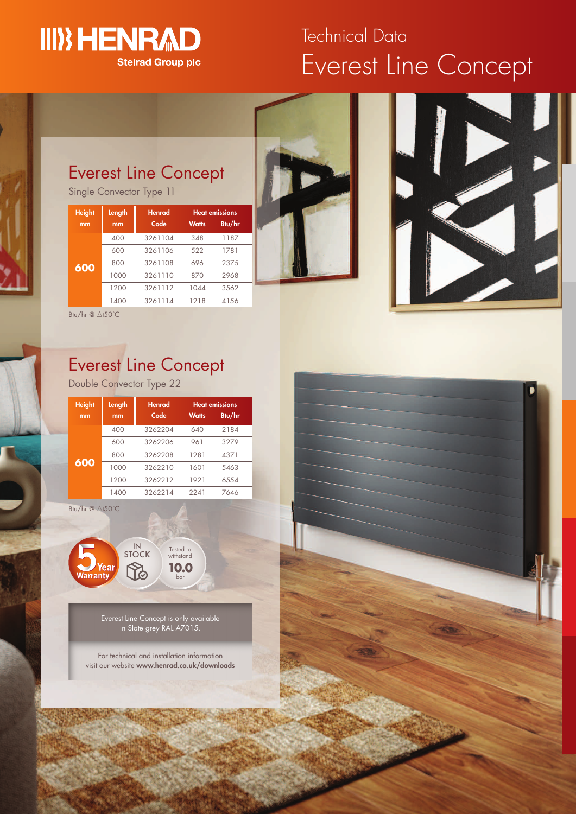## **III) HENRAD Stelrad Group plc**

# Everest Line Concept Technical Data

### Everest Line Concept

Single Convector Type 11

| <b>Height</b> | Length | <b>Henrad</b> | <b>Heat emissions</b> |        |  |
|---------------|--------|---------------|-----------------------|--------|--|
| mm            | mm     | Code          | <b>Watts</b>          | Btu/hr |  |
|               | 400    | 3261104       | 348                   | 1187   |  |
|               | 600    | 3261106       | 522                   | 1781   |  |
| 600           | 800    | 3261108       | 696                   | 2375   |  |
|               | 1000   | 3261110       | 870                   | 2968   |  |
|               | 1200   | 3261112       | 1044                  | 3562   |  |
|               | 1400   | 3261114       | 1218                  | 4156   |  |





Btu/hr  $\overline{\omega}$   $\Delta$ t50°C

## Everest Line Concept

Double Convector Type 22

| <b>Height</b> | Length | <b>Henrad</b> | <b>Heat emissions</b> |        |
|---------------|--------|---------------|-----------------------|--------|
| mm            | mm     | Code          | <b>Watts</b>          | Btu/hr |
| 600           | 400    | 3262204       | 640                   | 2184   |
|               | 600    | 3262206       | 961                   | 3279   |
|               | 800    | 3262208       | 1281                  | 4371   |
|               | 1000   | 3262210       | 1601                  | 5463   |
|               | 1200   | 3262212       | 1921                  | 6554   |
|               | 1400   | 3262214       | 2241                  | 7646   |

Btu/hr  $@$   $\triangle$ t50°C



Everest Line Concept is only available in Slate grey RAL A7015.

bar

For technical and installation information visit our website **www.henrad.co.uk/downloads**